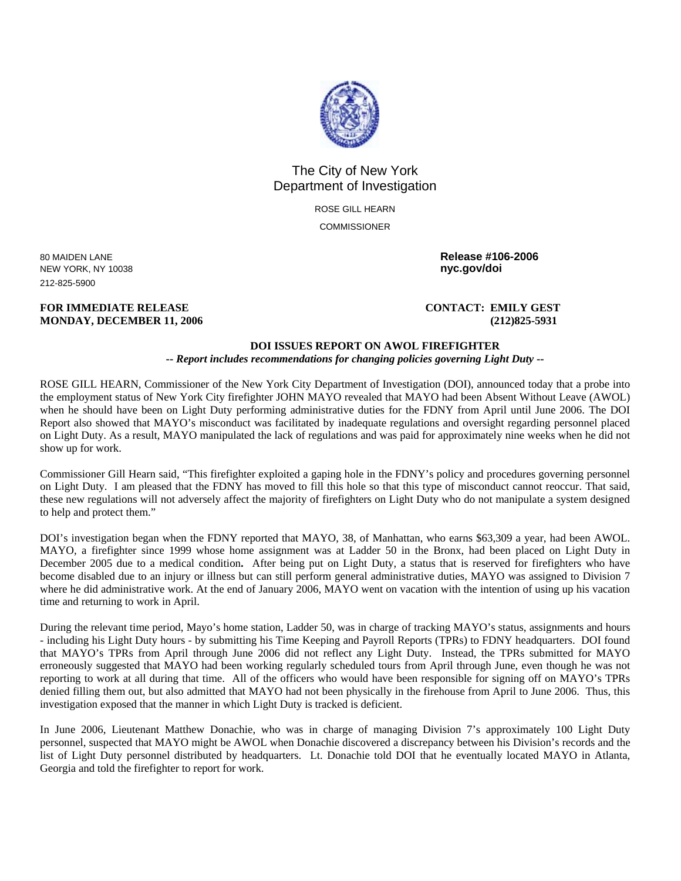

## The City of New York Department of Investigation

ROSE GILL HEARN **COMMISSIONER** 

80 MAIDEN LANE **Release #106-2006 NEW YORK, NY 10038** 212-825-5900

**FOR IMMEDIATE RELEASE CONTACT: EMILY GEST MONDAY, DECEMBER 11, 2006 (212)825-5931** 

## **DOI ISSUES REPORT ON AWOL FIREFIGHTER**

**--** *Report includes recommendations for changing policies governing Light Duty* **--** 

ROSE GILL HEARN, Commissioner of the New York City Department of Investigation (DOI), announced today that a probe into the employment status of New York City firefighter JOHN MAYO revealed that MAYO had been Absent Without Leave (AWOL) when he should have been on Light Duty performing administrative duties for the FDNY from April until June 2006. The DOI Report also showed that MAYO's misconduct was facilitated by inadequate regulations and oversight regarding personnel placed on Light Duty. As a result, MAYO manipulated the lack of regulations and was paid for approximately nine weeks when he did not show up for work.

Commissioner Gill Hearn said, "This firefighter exploited a gaping hole in the FDNY's policy and procedures governing personnel on Light Duty. I am pleased that the FDNY has moved to fill this hole so that this type of misconduct cannot reoccur. That said, these new regulations will not adversely affect the majority of firefighters on Light Duty who do not manipulate a system designed to help and protect them."

DOI's investigation began when the FDNY reported that MAYO, 38, of Manhattan, who earns \$63,309 a year, had been AWOL. MAYO, a firefighter since 1999 whose home assignment was at Ladder 50 in the Bronx, had been placed on Light Duty in December 2005 due to a medical condition**.** After being put on Light Duty, a status that is reserved for firefighters who have become disabled due to an injury or illness but can still perform general administrative duties, MAYO was assigned to Division 7 where he did administrative work. At the end of January 2006, MAYO went on vacation with the intention of using up his vacation time and returning to work in April.

During the relevant time period, Mayo's home station, Ladder 50, was in charge of tracking MAYO's status, assignments and hours - including his Light Duty hours - by submitting his Time Keeping and Payroll Reports (TPRs) to FDNY headquarters. DOI found that MAYO's TPRs from April through June 2006 did not reflect any Light Duty. Instead, the TPRs submitted for MAYO erroneously suggested that MAYO had been working regularly scheduled tours from April through June, even though he was not reporting to work at all during that time. All of the officers who would have been responsible for signing off on MAYO's TPRs denied filling them out, but also admitted that MAYO had not been physically in the firehouse from April to June 2006. Thus, this investigation exposed that the manner in which Light Duty is tracked is deficient.

In June 2006, Lieutenant Matthew Donachie, who was in charge of managing Division 7's approximately 100 Light Duty personnel, suspected that MAYO might be AWOL when Donachie discovered a discrepancy between his Division's records and the list of Light Duty personnel distributed by headquarters. Lt. Donachie told DOI that he eventually located MAYO in Atlanta, Georgia and told the firefighter to report for work.